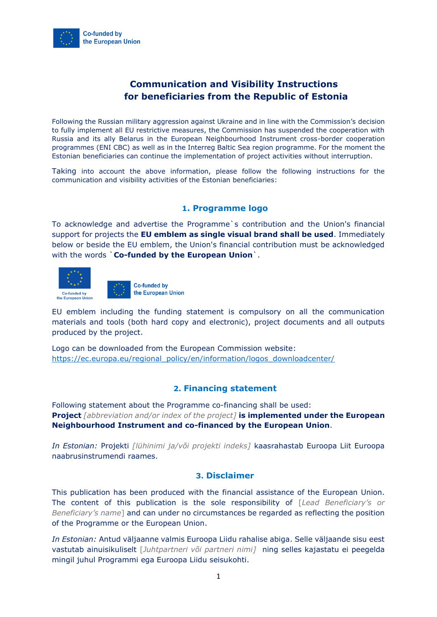

# **Communication and Visibility Instructions for beneficiaries from the Republic of Estonia**

Following the Russian military aggression against Ukraine and in line with the Commission's decision to fully implement all EU restrictive measures, the Commission has suspended the cooperation with Russia and its ally Belarus in the European Neighbourhood Instrument cross-border cooperation programmes (ENI CBC) as well as in the Interreg Baltic Sea region programme. For the moment the Estonian beneficiaries can continue the implementation of project activities without interruption.

Taking into account the above information, please follow the following instructions for the communication and visibility activities of the Estonian beneficiaries:

## **1. Programme logo**

To acknowledge and advertise the Programme`s contribution and the Union's financial support for projects the **EU emblem as single visual brand shall be used**. Immediately below or beside the EU emblem, the Union's financial contribution must be acknowledged with the words `**Co-funded by the European Union**`.



**Co-funded by** the European Union

EU emblem including the funding statement is compulsory on all the communication materials and tools (both hard copy and electronic), project documents and all outputs produced by the project.

Logo can be downloaded from the European Commission website: [https://ec.europa.eu/regional\\_policy/en/information/logos\\_downloadcenter/](https://ec.europa.eu/regional_policy/en/information/logos_downloadcenter/)

## **2. Financing statement**

Following statement about the Programme co-financing shall be used: **Project** *[abbreviation and/or index of the project]* **is implemented under the European Neighbourhood Instrument and co-financed by the European Union**.

*In Estonian:* Projekti *[lühinimi ja/või projekti indeks]* kaasrahastab Euroopa Liit Euroopa naabrusinstrumendi raames.

#### **3. Disclaimer**

This publication has been produced with the financial assistance of the European Union. The content of this publication is the sole responsibility of [*Lead Beneficiary's or Beneficiary's name*] and can under no circumstances be regarded as reflecting the position of the Programme or the European Union.

*In Estonian:* Antud väljaanne valmis Euroopa Liidu rahalise abiga. Selle väljaande sisu eest vastutab ainuisikuliselt [*Juhtpartneri või partneri nimi]* ning selles kajastatu ei peegelda mingil juhul Programmi ega Euroopa Liidu seisukohti.